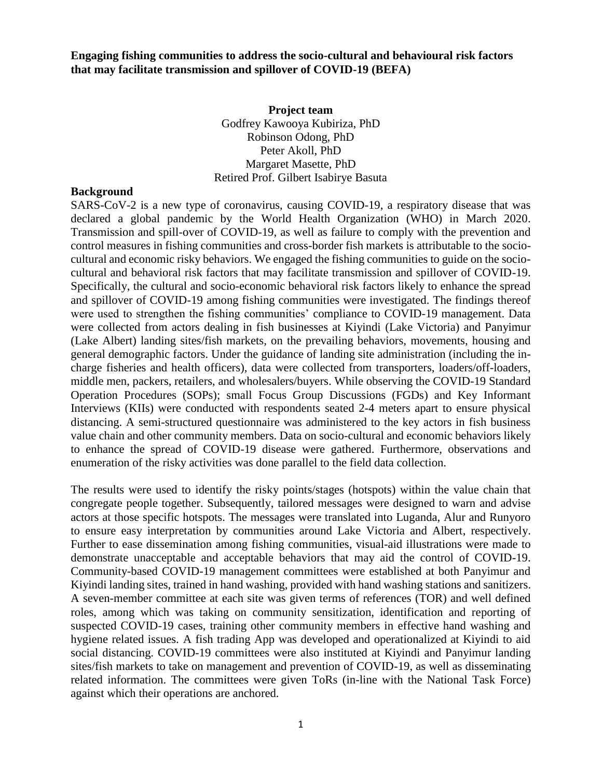**Engaging fishing communities to address the socio-cultural and behavioural risk factors that may facilitate transmission and spillover of COVID-19 (BEFA)**

> **Project team** Godfrey Kawooya Kubiriza, PhD Robinson Odong, PhD Peter Akoll, PhD Margaret Masette, PhD Retired Prof. Gilbert Isabirye Basuta

## **Background**

SARS-CoV-2 is a new type of coronavirus, causing COVID-19, a respiratory disease that was declared a global pandemic by the World Health Organization (WHO) in March 2020. Transmission and spill-over of COVID-19, as well as failure to comply with the prevention and control measures in fishing communities and cross-border fish markets is attributable to the sociocultural and economic risky behaviors. We engaged the fishing communities to guide on the sociocultural and behavioral risk factors that may facilitate transmission and spillover of COVID-19. Specifically, the cultural and socio-economic behavioral risk factors likely to enhance the spread and spillover of COVID-19 among fishing communities were investigated. The findings thereof were used to strengthen the fishing communities' compliance to COVID-19 management. Data were collected from actors dealing in fish businesses at Kiyindi (Lake Victoria) and Panyimur (Lake Albert) landing sites/fish markets, on the prevailing behaviors, movements, housing and general demographic factors. Under the guidance of landing site administration (including the incharge fisheries and health officers), data were collected from transporters, loaders/off-loaders, middle men, packers, retailers, and wholesalers/buyers. While observing the COVID-19 Standard Operation Procedures (SOPs); small Focus Group Discussions (FGDs) and Key Informant Interviews (KIIs) were conducted with respondents seated 2-4 meters apart to ensure physical distancing. A semi-structured questionnaire was administered to the key actors in fish business value chain and other community members. Data on socio-cultural and economic behaviors likely to enhance the spread of COVID-19 disease were gathered. Furthermore, observations and enumeration of the risky activities was done parallel to the field data collection.

The results were used to identify the risky points/stages (hotspots) within the value chain that congregate people together. Subsequently, tailored messages were designed to warn and advise actors at those specific hotspots. The messages were translated into Luganda, Alur and Runyoro to ensure easy interpretation by communities around Lake Victoria and Albert, respectively. Further to ease dissemination among fishing communities, visual-aid illustrations were made to demonstrate unacceptable and acceptable behaviors that may aid the control of COVID-19. Community-based COVID-19 management committees were established at both Panyimur and Kiyindi landing sites, trained in hand washing, provided with hand washing stations and sanitizers. A seven-member committee at each site was given terms of references (TOR) and well defined roles, among which was taking on community sensitization, identification and reporting of suspected COVID-19 cases, training other community members in effective hand washing and hygiene related issues. A fish trading App was developed and operationalized at Kiyindi to aid social distancing. COVID-19 committees were also instituted at Kiyindi and Panyimur landing sites/fish markets to take on management and prevention of COVID-19, as well as disseminating related information. The committees were given ToRs (in-line with the National Task Force) against which their operations are anchored.